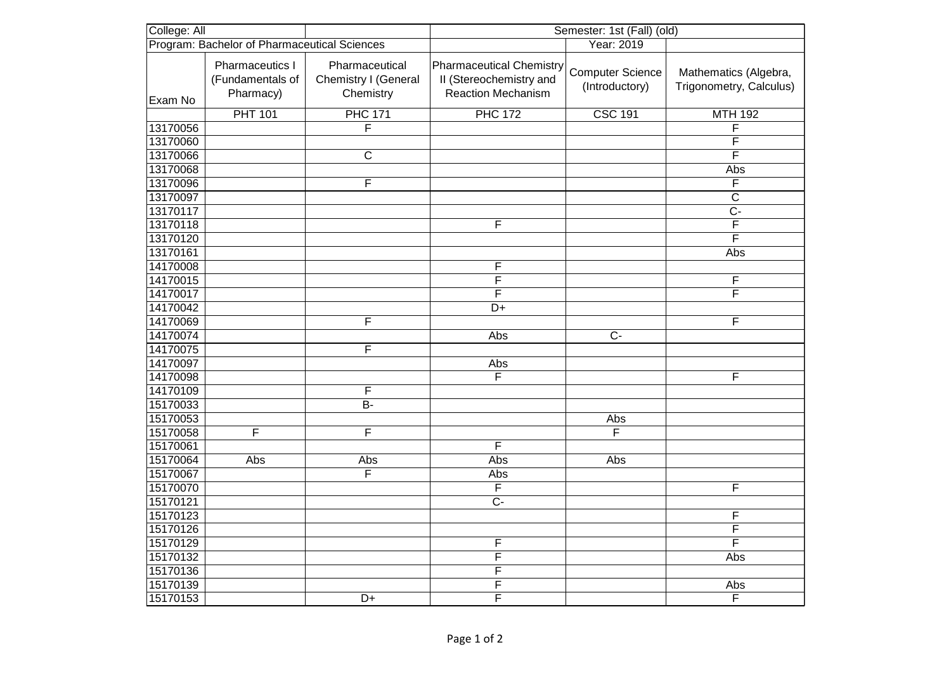| College: All                                 |                                                  | Semester: 1st (Fall) (old)                          |                                                                                         |                                           |                                                  |
|----------------------------------------------|--------------------------------------------------|-----------------------------------------------------|-----------------------------------------------------------------------------------------|-------------------------------------------|--------------------------------------------------|
| Program: Bachelor of Pharmaceutical Sciences |                                                  |                                                     |                                                                                         | Year: 2019                                |                                                  |
| Exam No                                      | Pharmaceutics I<br>(Fundamentals of<br>Pharmacy) | Pharmaceutical<br>Chemistry I (General<br>Chemistry | <b>Pharmaceutical Chemistry</b><br>II (Stereochemistry and<br><b>Reaction Mechanism</b> | <b>Computer Science</b><br>(Introductory) | Mathematics (Algebra,<br>Trigonometry, Calculus) |
|                                              | <b>PHT 101</b>                                   | <b>PHC 171</b>                                      | <b>PHC 172</b>                                                                          | <b>CSC 191</b>                            | <b>MTH 192</b>                                   |
| 13170056                                     |                                                  | F                                                   |                                                                                         |                                           | F                                                |
| 13170060                                     |                                                  |                                                     |                                                                                         |                                           | F                                                |
| 13170066                                     |                                                  | $\overline{C}$                                      |                                                                                         |                                           | $\overline{\mathsf{F}}$                          |
| 13170068                                     |                                                  |                                                     |                                                                                         |                                           | Abs                                              |
| 13170096                                     |                                                  | F                                                   |                                                                                         |                                           | F                                                |
| 13170097                                     |                                                  |                                                     |                                                                                         |                                           | $\overline{C}$                                   |
| 13170117                                     |                                                  |                                                     |                                                                                         |                                           | $\overline{C}$                                   |
| 13170118                                     |                                                  |                                                     | $\overline{\mathsf{F}}$                                                                 |                                           | F                                                |
| 13170120                                     |                                                  |                                                     |                                                                                         |                                           | F                                                |
| 13170161                                     |                                                  |                                                     |                                                                                         |                                           | Abs                                              |
| 14170008                                     |                                                  |                                                     | $\overline{\mathsf{F}}$                                                                 |                                           |                                                  |
| 14170015                                     |                                                  |                                                     | $\overline{\mathsf{F}}$                                                                 |                                           | F                                                |
| 14170017                                     |                                                  |                                                     | $\overline{\mathsf{F}}$                                                                 |                                           | F                                                |
| 14170042                                     |                                                  |                                                     | D+                                                                                      |                                           |                                                  |
| 14170069                                     |                                                  | F                                                   |                                                                                         |                                           | F                                                |
| 14170074                                     |                                                  |                                                     | Abs                                                                                     | $\overline{C}$                            |                                                  |
| 14170075                                     |                                                  | F                                                   |                                                                                         |                                           |                                                  |
| 14170097                                     |                                                  |                                                     | Abs                                                                                     |                                           |                                                  |
| 14170098                                     |                                                  |                                                     | F                                                                                       |                                           | F                                                |
| 14170109                                     |                                                  | $\overline{F}$                                      |                                                                                         |                                           |                                                  |
| 15170033                                     |                                                  | $\overline{B}$                                      |                                                                                         |                                           |                                                  |
| 15170053                                     |                                                  |                                                     |                                                                                         | Abs                                       |                                                  |
| 15170058                                     | F                                                | F                                                   |                                                                                         | F                                         |                                                  |
| 15170061                                     |                                                  |                                                     | F                                                                                       |                                           |                                                  |
| 15170064                                     | Abs                                              | Abs                                                 | Abs                                                                                     | Abs                                       |                                                  |
| 15170067                                     |                                                  | F                                                   | Abs                                                                                     |                                           |                                                  |
| 15170070                                     |                                                  |                                                     | F                                                                                       |                                           | F                                                |
| 15170121                                     |                                                  |                                                     | $C -$                                                                                   |                                           |                                                  |
| 15170123                                     |                                                  |                                                     |                                                                                         |                                           | F                                                |
| 15170126                                     |                                                  |                                                     |                                                                                         |                                           | F                                                |
| 15170129                                     |                                                  |                                                     | $\overline{F}$                                                                          |                                           | $\overline{\mathsf{F}}$                          |
| 15170132                                     |                                                  |                                                     | $\overline{\mathsf{F}}$                                                                 |                                           | Abs                                              |
| 15170136                                     |                                                  |                                                     | F                                                                                       |                                           |                                                  |
| 15170139                                     |                                                  |                                                     | $\overline{F}$                                                                          |                                           | Abs                                              |
| 15170153                                     |                                                  | D+                                                  | $\overline{\mathsf{F}}$                                                                 |                                           | F                                                |